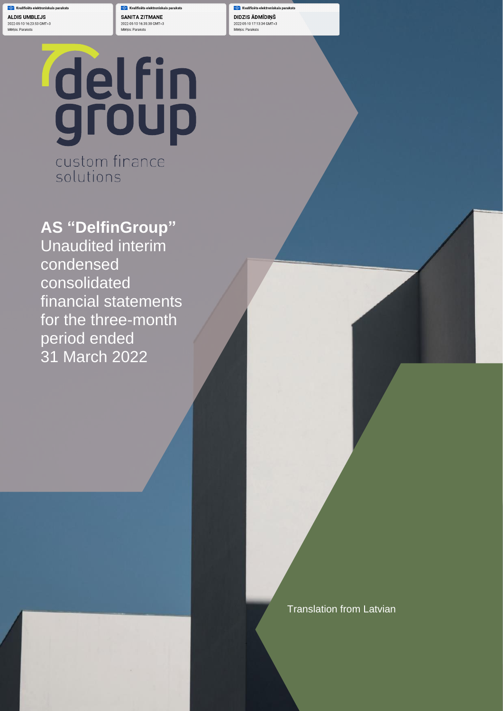cais parakst **ALDIS UMBLEJS** 2022-05-10 16:23:53 GMT+3 Mērkis: Paraksts

**C** Kvalificēts elektroniskais parakst **SANITA ZITMANE** 2022-05-10 16:35:38 GMT+3 Mērkis: Paraksts

**Kyalificēts elektroniskais paraksts** DIDZIS ĀDMĪDIŅŠ 2022-05-10 17:13:34 GMT+3 Mērkis: Paraksts

statements for the period ended 31 March 2022

# delfin custom finance

solutions

**AS "DelfinGroup"** Unaudited interim condensed consolidated financial statements for the three-month period ended 31 March 2022

Translation from Latvian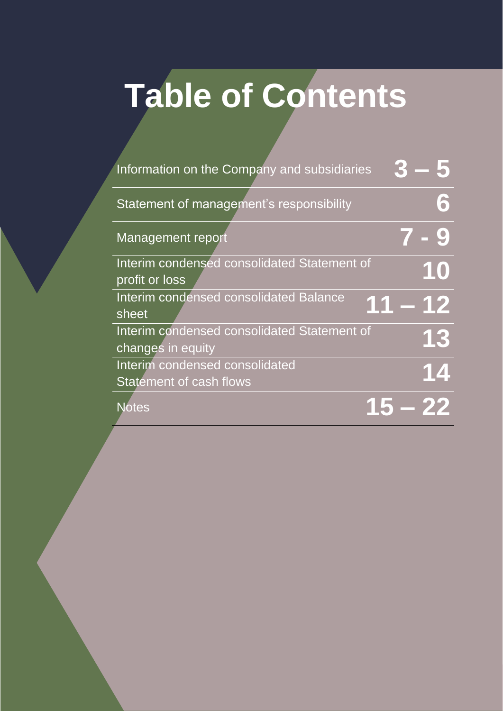## **Table of Contents**

| Information on the Company and subsidiaries                      |        |
|------------------------------------------------------------------|--------|
| Statement of management's responsibility                         | 6      |
| Management report                                                |        |
| Interim condensed consolidated Statement of<br>profit or loss    | 10     |
| Interim condensed consolidated Balance<br>sheet                  | 1 – 12 |
| Interim condensed consolidated Statement of<br>changes in equity | 13     |
| Interim condensed consolidated<br><b>Statement of cash flows</b> | 14     |
| <b>Notes</b>                                                     |        |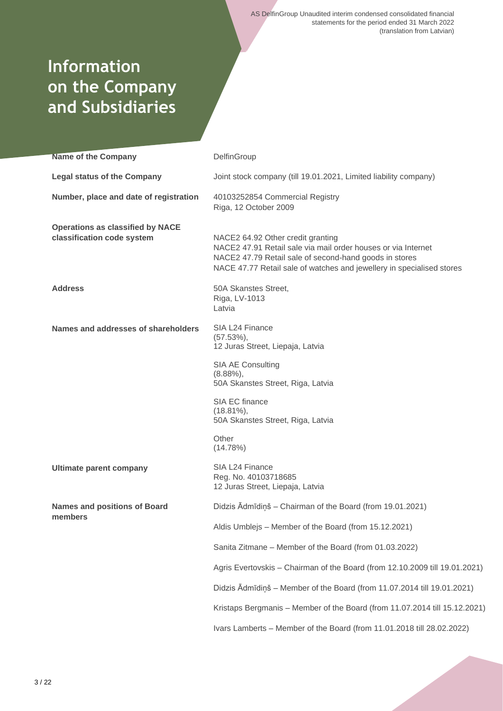## **Information on the Company and Subsidiaries**

| <b>Name of the Company</b>                                            | DelfinGroup                                                                                                                                                                                                                           |
|-----------------------------------------------------------------------|---------------------------------------------------------------------------------------------------------------------------------------------------------------------------------------------------------------------------------------|
| <b>Legal status of the Company</b>                                    | Joint stock company (till 19.01.2021, Limited liability company)                                                                                                                                                                      |
| Number, place and date of registration                                | 40103252854 Commercial Registry<br>Riga, 12 October 2009                                                                                                                                                                              |
| <b>Operations as classified by NACE</b><br>classification code system | NACE2 64.92 Other credit granting<br>NACE2 47.91 Retail sale via mail order houses or via Internet<br>NACE2 47.79 Retail sale of second-hand goods in stores<br>NACE 47.77 Retail sale of watches and jewellery in specialised stores |
| <b>Address</b>                                                        | 50A Skanstes Street,<br>Riga, LV-1013<br>Latvia                                                                                                                                                                                       |
| Names and addresses of shareholders                                   | SIA L24 Finance<br>$(57.53\%),$<br>12 Juras Street, Liepaja, Latvia                                                                                                                                                                   |
|                                                                       | <b>SIA AE Consulting</b><br>$(8.88\%)$ ,<br>50A Skanstes Street, Riga, Latvia                                                                                                                                                         |
|                                                                       | SIA EC finance<br>$(18.81\%),$<br>50A Skanstes Street, Riga, Latvia                                                                                                                                                                   |
|                                                                       | Other<br>(14.78%)                                                                                                                                                                                                                     |
| <b>Ultimate parent company</b>                                        | SIA L24 Finance<br>Reg. No. 40103718685<br>12 Juras Street, Liepaja, Latvia                                                                                                                                                           |
| <b>Names and positions of Board</b><br>members                        | Didzis Ādmīdiņš - Chairman of the Board (from 19.01.2021)                                                                                                                                                                             |
|                                                                       | Aldis Umblejs - Member of the Board (from 15.12.2021)                                                                                                                                                                                 |
|                                                                       | Sanita Zitmane - Member of the Board (from 01.03.2022)                                                                                                                                                                                |
|                                                                       | Agris Evertovskis - Chairman of the Board (from 12.10.2009 till 19.01.2021)                                                                                                                                                           |
|                                                                       | Didzis Ādmīdiņš - Member of the Board (from 11.07.2014 till 19.01.2021)                                                                                                                                                               |
|                                                                       | Kristaps Bergmanis - Member of the Board (from 11.07.2014 till 15.12.2021)                                                                                                                                                            |
|                                                                       | Ivars Lamberts - Member of the Board (from 11.01.2018 till 28.02.2022)                                                                                                                                                                |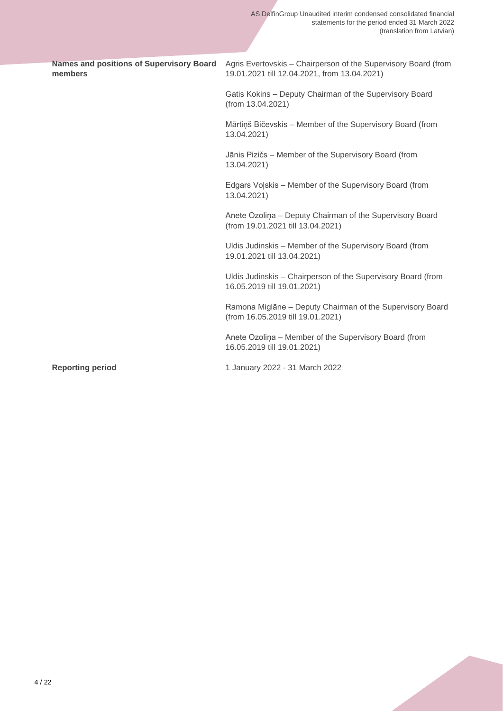| <b>Names and positions of Supervisory Board</b><br>members | Agris Evertovskis - Chairperson of the Supervisory Board (from<br>19.01.2021 till 12.04.2021, from 13.04.2021) |
|------------------------------------------------------------|----------------------------------------------------------------------------------------------------------------|
|                                                            | Gatis Kokins - Deputy Chairman of the Supervisory Board<br>(from 13.04.2021)                                   |
|                                                            | Mārtiņš Bičevskis - Member of the Supervisory Board (from<br>13.04.2021)                                       |
|                                                            | Jānis Pizičs - Member of the Supervisory Board (from<br>13.04.2021)                                            |
|                                                            | Edgars Volskis - Member of the Supervisory Board (from<br>13.04.2021)                                          |
|                                                            | Anete Ozolina - Deputy Chairman of the Supervisory Board<br>(from 19.01.2021 till 13.04.2021)                  |
|                                                            | Uldis Judinskis - Member of the Supervisory Board (from<br>19.01.2021 till 13.04.2021)                         |
|                                                            | Uldis Judinskis - Chairperson of the Supervisory Board (from<br>16.05.2019 till 19.01.2021)                    |
|                                                            | Ramona Miglāne - Deputy Chairman of the Supervisory Board<br>(from 16.05.2019 till 19.01.2021)                 |
|                                                            | Anete Ozolina - Member of the Supervisory Board (from<br>16.05.2019 till 19.01.2021)                           |
| <b>Reporting period</b>                                    | 1 January 2022 - 31 March 2022                                                                                 |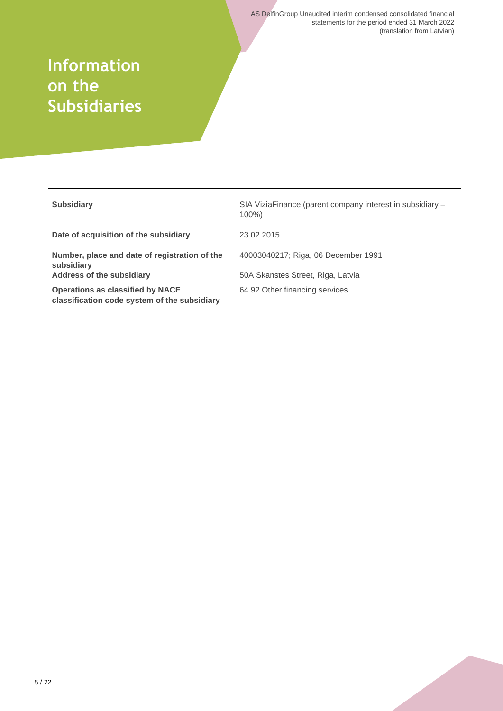## **Information on the Subsidiaries**

| <b>Subsidiary</b>                                                                       | SIA ViziaFinance (parent company interest in subsidiary –<br>$100\%$ |
|-----------------------------------------------------------------------------------------|----------------------------------------------------------------------|
| Date of acquisition of the subsidiary                                                   | 23.02.2015                                                           |
| Number, place and date of registration of the<br>subsidiary                             | 40003040217; Riga, 06 December 1991                                  |
| <b>Address of the subsidiary</b>                                                        | 50A Skanstes Street, Riga, Latvia                                    |
| <b>Operations as classified by NACE</b><br>classification code system of the subsidiary | 64.92 Other financing services                                       |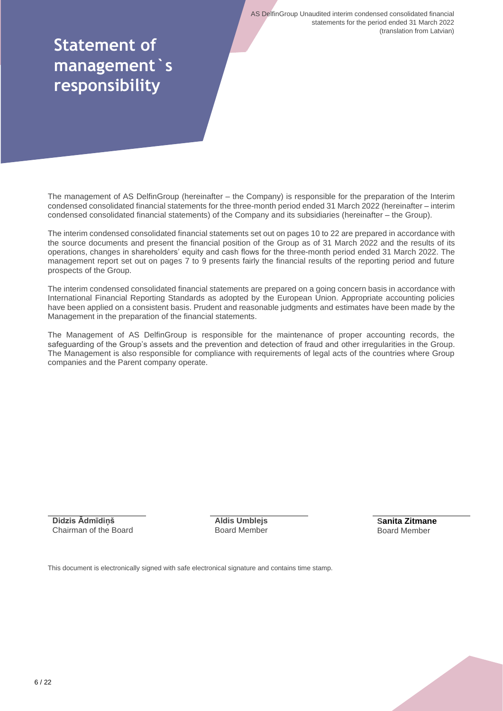## **Statement of management`s responsibility**

The management of AS DelfinGroup (hereinafter – the Company) is responsible for the preparation of the Interim condensed consolidated financial statements for the three-month period ended 31 March 2022 (hereinafter – interim condensed consolidated financial statements) of the Company and its subsidiaries (hereinafter – the Group).

The interim condensed consolidated financial statements set out on pages 10 to 22 are prepared in accordance with the source documents and present the financial position of the Group as of 31 March 2022 and the results of its operations, changes in shareholders' equity and cash flows for the three-month period ended 31 March 2022. The management report set out on pages 7 to 9 presents fairly the financial results of the reporting period and future prospects of the Group.

The interim condensed consolidated financial statements are prepared on a going concern basis in accordance with International Financial Reporting Standards as adopted by the European Union. Appropriate accounting policies have been applied on a consistent basis. Prudent and reasonable judgments and estimates have been made by the Management in the preparation of the financial statements.

The Management of AS DelfinGroup is responsible for the maintenance of proper accounting records, the safeguarding of the Group's assets and the prevention and detection of fraud and other irregularities in the Group. The Management is also responsible for compliance with requirements of legal acts of the countries where Group companies and the Parent company operate.

**Didzis Ādmīdiņš** Chairman of the Board **Aldis Umblejs** Board Member

**Sanita Zitmane** Board Member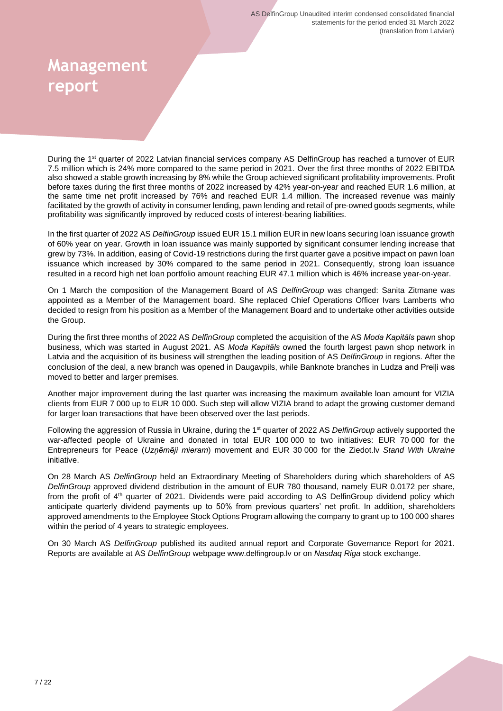## **Management report**

During the 1<sup>st</sup> quarter of 2022 Latvian financial services company AS DelfinGroup has reached a turnover of EUR 7.5 million which is 24% more compared to the same period in 2021. Over the first three months of 2022 EBITDA also showed a stable growth increasing by 8% while the Group achieved significant profitability improvements. Profit before taxes during the first three months of 2022 increased by 42% year-on-year and reached EUR 1.6 million, at the same time net profit increased by 76% and reached EUR 1.4 million. The increased revenue was mainly facilitated by the growth of activity in consumer lending, pawn lending and retail of pre-owned goods segments, while profitability was significantly improved by reduced costs of interest-bearing liabilities.

In the first quarter of 2022 AS *DelfinGroup* issued EUR 15.1 million EUR in new loans securing loan issuance growth of 60% year on year. Growth in loan issuance was mainly supported by significant consumer lending increase that grew by 73%. In addition, easing of Covid-19 restrictions during the first quarter gave a positive impact on pawn loan issuance which increased by 30% compared to the same period in 2021. Consequently, strong loan issuance resulted in a record high net loan portfolio amount reaching EUR 47.1 million which is 46% increase year-on-year.

On 1 March the composition of the Management Board of AS *DelfinGroup* was changed: Sanita Zitmane was appointed as a Member of the Management board. She replaced Chief Operations Officer Ivars Lamberts who decided to resign from his position as a Member of the Management Board and to undertake other activities outside the Group.

During the first three months of 2022 AS *DelfinGroup* completed the acquisition of the AS *Moda Kapitāls* pawn shop business, which was started in August 2021. AS *Moda Kapitāls* owned the fourth largest pawn shop network in Latvia and the acquisition of its business will strengthen the leading position of AS *DelfinGroup* in regions. After the conclusion of the deal, a new branch was opened in Daugavpils, while Banknote branches in Ludza and Preiļi was moved to better and larger premises.

Another major improvement during the last quarter was increasing the maximum available loan amount for VIZIA clients from EUR 7 000 up to EUR 10 000. Such step will allow VIZIA brand to adapt the growing customer demand for larger loan transactions that have been observed over the last periods.

Following the aggression of Russia in Ukraine, during the 1st quarter of 2022 AS *DelfinGroup* actively supported the war-affected people of Ukraine and donated in total EUR 100 000 to two initiatives: EUR 70 000 for the Entrepreneurs for Peace (*Uzņēmēji mieram*) movement and EUR 30 000 for the Ziedot.lv *Stand With Ukraine* initiative.

On 28 March AS *DelfinGroup* held an Extraordinary Meeting of Shareholders during which shareholders of AS *DelfinGroup* approved dividend distribution in the amount of EUR 780 thousand, namely EUR 0.0172 per share, from the profit of 4th quarter of 2021. Dividends were paid according to AS DelfinGroup dividend policy which anticipate quarterly dividend payments up to 50% from previous quarters' net profit. In addition, shareholders approved amendments to the Employee Stock Options Program allowing the company to grant up to 100 000 shares within the period of 4 years to strategic employees.

On 30 March AS *DelfinGroup* published its audited annual report and Corporate Governance Report for 2021. Reports are available at AS *DelfinGroup* webpage [www.delfingroup.lv](http://www.delfingroup.lv/) or on *Nasdaq Riga* stock exchange.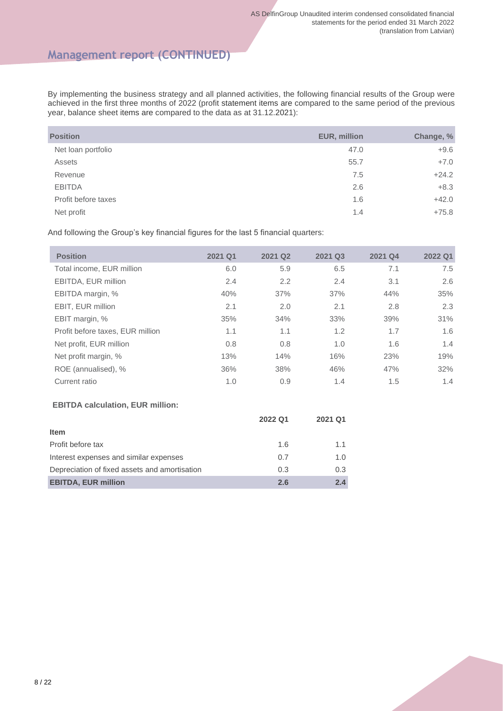## **Management report (CONTINUED)**

By implementing the business strategy and all planned activities, the following financial results of the Group were achieved in the first three months of 2022 (profit statement items are compared to the same period of the previous year, balance sheet items are compared to the data as at 31.12.2021):

| <b>Position</b>     | <b>EUR, million</b> | Change, % |
|---------------------|---------------------|-----------|
| Net loan portfolio  | 47.0                | $+9.6$    |
| <b>Assets</b>       | 55.7                | $+7.0$    |
| Revenue             | 7.5                 | $+24.2$   |
| <b>EBITDA</b>       | 2.6                 | $+8.3$    |
| Profit before taxes | 1.6                 | $+42.0$   |
| Net profit          | 1.4                 | $+75.8$   |

And following the Group's key financial figures for the last 5 financial quarters:

| <b>Position</b>                  | 2021 Q1 | 2021 Q2 | 2021 Q3 | 2021 Q4 | 2022 Q1 |
|----------------------------------|---------|---------|---------|---------|---------|
| Total income, EUR million        | 6.0     | 5.9     | 6.5     | 7.1     | 7.5     |
| EBITDA, EUR million              | 2.4     | 2.2     | 2.4     | 3.1     | 2.6     |
| EBITDA margin, %                 | 40%     | 37%     | 37%     | 44%     | 35%     |
| EBIT, EUR million                | 2.1     | 2.0     | 2.1     | 2.8     | 2.3     |
| EBIT margin, %                   | 35%     | 34%     | 33%     | 39%     | 31%     |
| Profit before taxes, EUR million | 1.1     | 1.1     | 1.2     | 1.7     | 1.6     |
| Net profit, EUR million          | 0.8     | 0.8     | 1.0     | 1.6     | 1.4     |
| Net profit margin, %             | 13%     | 14%     | 16%     | 23%     | 19%     |
| ROE (annualised), %              | 36%     | 38%     | 46%     | 47%     | 32%     |
| Current ratio                    | 1.0     | 0.9     | 1.4     | 1.5     | 1.4     |

#### **EBITDA calculation, EUR million:**

|                                               | 2022 Q1 | 2021 Q1 |
|-----------------------------------------------|---------|---------|
| <b>Item</b>                                   |         |         |
| Profit before tax                             | 1.6     | 1.1     |
| Interest expenses and similar expenses        | 0.7     | 1.0     |
| Depreciation of fixed assets and amortisation | 0.3     | 0.3     |
| <b>EBITDA, EUR million</b>                    | 2.6     | 2.4     |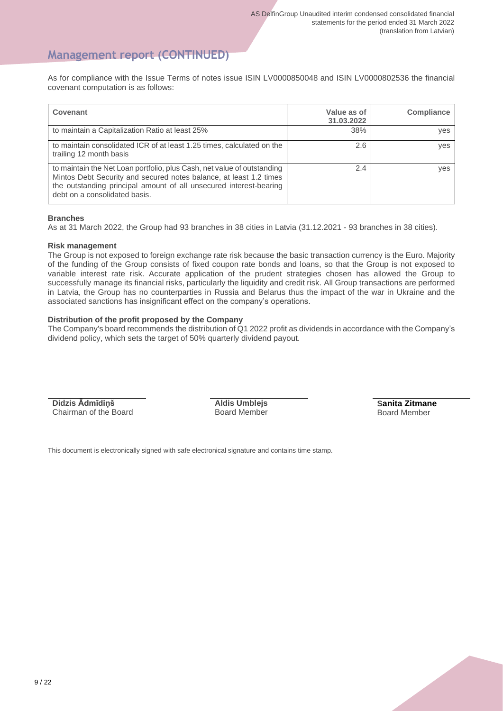### **Management report (CONTINUED)**

As for compliance with the Issue Terms of notes issue ISIN LV0000850048 and ISIN LV0000802536 the financial covenant computation is as follows:

| Covenant                                                                                                                                                                                                                                             | Value as of<br>31.03.2022 | Compliance |
|------------------------------------------------------------------------------------------------------------------------------------------------------------------------------------------------------------------------------------------------------|---------------------------|------------|
| to maintain a Capitalization Ratio at least 25%                                                                                                                                                                                                      | 38%                       | ves        |
| to maintain consolidated ICR of at least 1.25 times, calculated on the<br>trailing 12 month basis                                                                                                                                                    | 2.6                       | ves        |
| to maintain the Net Loan portfolio, plus Cash, net value of outstanding<br>Mintos Debt Security and secured notes balance, at least 1.2 times<br>the outstanding principal amount of all unsecured interest-bearing<br>debt on a consolidated basis. | 2.4                       | ves        |

#### **Branches**

As at 31 March 2022, the Group had 93 branches in 38 cities in Latvia (31.12.2021 - 93 branches in 38 cities).

#### **Risk management**

The Group is not exposed to foreign exchange rate risk because the basic transaction currency is the Euro. Majority of the funding of the Group consists of fixed coupon rate bonds and loans, so that the Group is not exposed to variable interest rate risk. Accurate application of the prudent strategies chosen has allowed the Group to successfully manage its financial risks, particularly the liquidity and credit risk. All Group transactions are performed in Latvia, the Group has no counterparties in Russia and Belarus thus the impact of the war in Ukraine and the associated sanctions has insignificant effect on the company's operations.

#### **Distribution of the profit proposed by the Company**

The Company's board recommends the distribution of Q1 2022 profit as dividends in accordance with the Company's dividend policy, which sets the target of 50% quarterly dividend payout.

**Didzis Ādmīdiņš** Chairman of the Board **Aldis Umblejs** Board Member **Sanita Zitmane** Board Member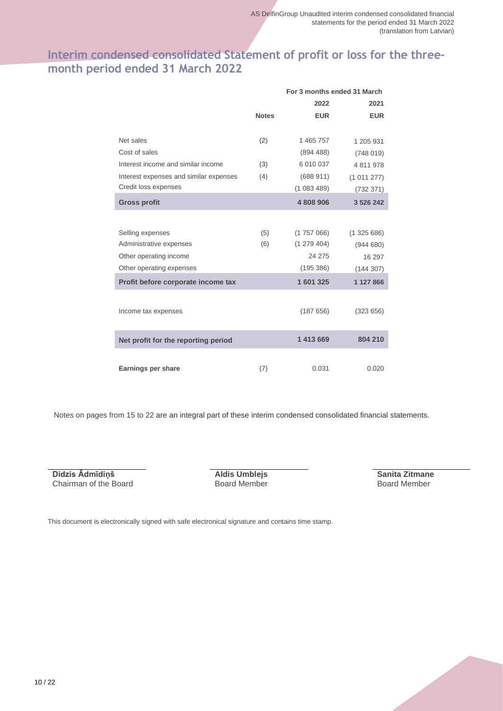## **Interim condensed consolidated Statement of profit or loss for the threemonth period ended 31 March 2022**

|                                        |              | For 3 months ended 31 March |               |
|----------------------------------------|--------------|-----------------------------|---------------|
|                                        |              | 2022                        | 2021          |
|                                        | <b>Notes</b> | <b>EUR</b>                  | <b>EUR</b>    |
|                                        |              |                             |               |
| Net sales                              | (2)          | 1 465 757                   | 1 205 931     |
| Cost of sales                          |              | (894, 488)                  | (748019)      |
| Interest income and similar income     | (3)          | 6 010 037                   | 4 811 978     |
| Interest expenses and similar expenses | (4)          | (688911)                    | (1011277)     |
| Credit loss expenses                   |              | (1083489)                   | (732 371)     |
| <b>Gross profit</b>                    |              | 4 808 906                   | 3 5 2 6 2 4 2 |
|                                        |              |                             |               |
| Selling expenses                       | (5)          | (1757066)                   | (1325686)     |
| Administrative expenses                | (6)          | (1279404)                   | (944680)      |
| Other operating income                 |              | 24 275                      | 16 297        |
| Other operating expenses               |              | (195 386)                   | (144307)      |
| Profit before corporate income tax     |              | 1601325                     | 1 127 866     |
|                                        |              |                             |               |
| Income tax expenses                    |              | (187656)                    | (323656)      |
|                                        |              |                             |               |
| Net profit for the reporting period    |              | 1 413 669                   | 804 210       |
|                                        |              |                             |               |
| Earnings per share                     | (7)          | 0.031                       | 0.020         |

Notes on pages from 15 to 22 are an integral part of these interim condensed consolidated financial statements.

**Didzis Ādmīdiņš** Chairman of the Board **Aldis Umblejs** Board Member

**Sanita Zitmane** Board Member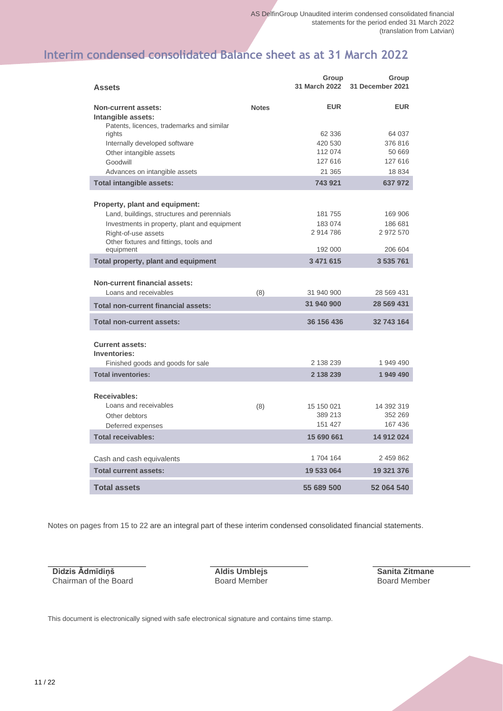## **Interim condensed consolidated Balance sheet as at 31 March 2022**

| <b>Assets</b>                                                                                 |              | Group<br>31 March 2022 | Group<br>31 December 2021 |
|-----------------------------------------------------------------------------------------------|--------------|------------------------|---------------------------|
| <b>Non-current assets:</b><br>Intangible assets:<br>Patents, licences, trademarks and similar | <b>Notes</b> | <b>EUR</b>             | <b>EUR</b>                |
| rights                                                                                        |              | 62 336                 | 64 037                    |
| Internally developed software                                                                 |              | 420 530                | 376816                    |
| Other intangible assets                                                                       |              | 112 074                | 50 669                    |
| Goodwill                                                                                      |              | 127 616<br>21 365      | 127 616<br>18 8 34        |
| Advances on intangible assets                                                                 |              | 743 921                | 637972                    |
| Total intangible assets:                                                                      |              |                        |                           |
| Property, plant and equipment:                                                                |              |                        |                           |
| Land, buildings, structures and perennials                                                    |              | 181 755                | 169 906                   |
| Investments in property, plant and equipment                                                  |              | 183 074                | 186 681                   |
| Right-of-use assets                                                                           |              | 2914786                | 2 972 570                 |
| Other fixtures and fittings, tools and<br>equipment                                           |              | 192 000                | 206 604                   |
| Total property, plant and equipment                                                           |              | 3 471 615              | 3 535 761                 |
|                                                                                               |              |                        |                           |
| <b>Non-current financial assets:</b>                                                          |              |                        |                           |
| Loans and receivables                                                                         | (8)          | 31 940 900             | 28 569 431                |
| <b>Total non-current financial assets:</b>                                                    |              | 31 940 900             | 28 569 431                |
| <b>Total non-current assets:</b>                                                              |              | 36 156 436             | 32 743 164                |
| <b>Current assets:</b><br>Inventories:                                                        |              |                        |                           |
| Finished goods and goods for sale                                                             |              | 2 138 239              | 1 949 490                 |
| <b>Total inventories:</b>                                                                     |              | 2 138 239              | 1 949 490                 |
| <b>Receivables:</b>                                                                           |              |                        |                           |
| Loans and receivables                                                                         | (8)          | 15 150 021             | 14 392 319                |
| Other debtors                                                                                 |              | 389 213                | 352 269                   |
| Deferred expenses                                                                             |              | 151 427                | 167 436                   |
| <b>Total receivables:</b>                                                                     |              | 15 690 661             | 14 912 024                |
| Cash and cash equivalents                                                                     |              | 1704 164               | 2 459 862                 |
| <b>Total current assets:</b>                                                                  |              | 19 533 064             | 19 321 376                |
| <b>Total assets</b>                                                                           |              | 55 689 500             | 52 064 540                |

Notes on pages from 15 to 22 are an integral part of these interim condensed consolidated financial statements.

**Didzis Ādmīdiņš** Chairman of the Board **Aldis Umblejs** Board Member **Sanita Zitmane** Board Member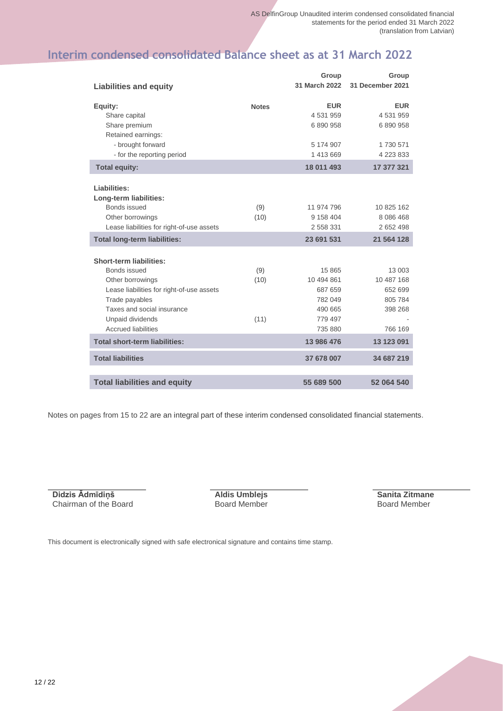## **Interim condensed consolidated Balance sheet as at 31 March 2022**

|                                                                       |              | Group                                | Group                              |
|-----------------------------------------------------------------------|--------------|--------------------------------------|------------------------------------|
| Liabilities and equity                                                |              | 31 March 2022                        | 31 December 2021                   |
| Equity:<br>Share capital<br>Share premium                             | <b>Notes</b> | <b>EUR</b><br>4 531 959<br>6 890 958 | <b>EUR</b><br>4531959<br>6 890 958 |
| Retained earnings:<br>- brought forward<br>- for the reporting period |              | 5 174 907<br>1 413 669               | 1730 571<br>4 223 833              |
| <b>Total equity:</b>                                                  |              | 18 011 493                           | 17 377 321                         |
| Liabilities:<br>Long-term liabilities:                                |              |                                      |                                    |
| Bonds issued                                                          | (9)          | 11 974 796                           | 10 825 162                         |
| Other borrowings                                                      | (10)         | 9 158 404                            | 8 0 8 6 4 6 8                      |
| Lease liabilities for right-of-use assets                             |              | 2 558 331                            | 2 652 498                          |
| <b>Total long-term liabilities:</b>                                   |              | 23 691 531                           | 21 564 128                         |
| <b>Short-term liabilities:</b>                                        |              |                                      |                                    |
| Bonds issued                                                          | (9)          | 15 865                               | 13 003                             |
| Other borrowings                                                      | (10)         | 10 494 861                           | 10 487 168                         |
| Lease liabilities for right-of-use assets                             |              | 687 659                              | 652 699                            |
| Trade payables                                                        |              | 782 049                              | 805 784                            |
| Taxes and social insurance                                            |              | 490 665                              | 398 268                            |
| Unpaid dividends<br><b>Accrued liabilities</b>                        | (11)         | 779 497                              |                                    |
|                                                                       |              | 735 880                              | 766 169                            |
| <b>Total short-term liabilities:</b>                                  |              | 13 986 476                           | 13 123 091                         |
| <b>Total liabilities</b>                                              |              | 37 678 007                           | 34 687 219                         |
|                                                                       |              |                                      |                                    |
| <b>Total liabilities and equity</b>                                   |              | 55 689 500                           | 52 064 540                         |

Notes on pages from 15 to 22 are an integral part of these interim condensed consolidated financial statements.

**Didzis Ādmīdiņš** Chairman of the Board **Aldis Umblejs** Board Member **Sanita Zitmane** Board Member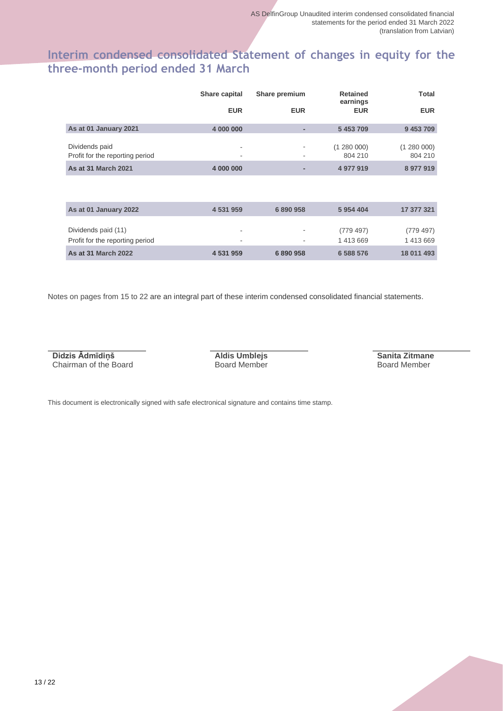## **Interim condensed consolidated Statement of changes in equity for the three-month period ended 31 March**

|                                                   | Share capital | Share premium | <b>Retained</b><br>earnings | <b>Total</b>         |
|---------------------------------------------------|---------------|---------------|-----------------------------|----------------------|
|                                                   | <b>EUR</b>    | <b>EUR</b>    | <b>EUR</b>                  | <b>EUR</b>           |
| As at 01 January 2021                             | 4 000 000     |               | 5 453 709                   | 9 453 709            |
| Dividends paid<br>Profit for the reporting period | -             | ٠             | (1280000)<br>804 210        | (1280000)<br>804 210 |
| <b>As at 31 March 2021</b>                        | 4 000 000     |               | 4 977 919                   | 8977919              |

| As at 01 January 2022                                  | 4 531 959 | 6890958 | 5954404              | 17 377 321           |
|--------------------------------------------------------|-----------|---------|----------------------|----------------------|
| Dividends paid (11)<br>Profit for the reporting period | ٠<br>-    | ۰       | (779.497)<br>1413669 | (779.497)<br>1413669 |
| <b>As at 31 March 2022</b>                             | 4 531 959 | 6890958 | 6 588 576            | 18 011 493           |

Notes on pages from 15 to 22 are an integral part of these interim condensed consolidated financial statements.

**Didzis Ādmīdiņš** Chairman of the Board **Aldis Umblejs** Board Member **Sanita Zitmane** Board Member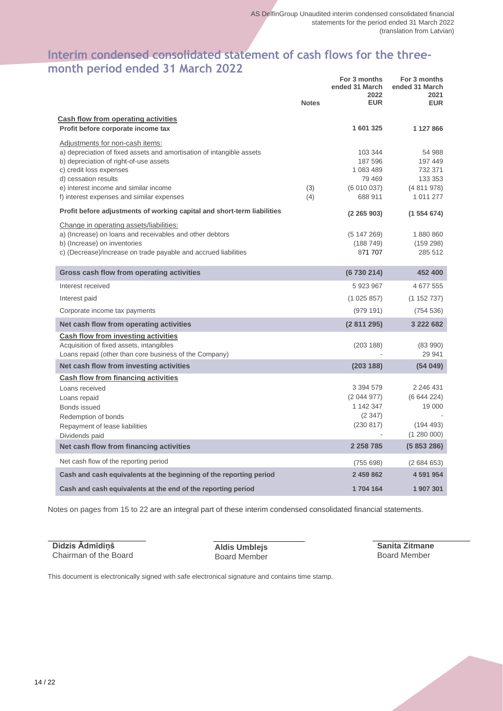#### **Interim condensed consolidated statement of cash flows for the threemonth period ended 31 March 2022 For 3 months**

|                                                                                                                                                                                                                                                                                             | <b>Notes</b> | For 3 months<br>ended 31 March<br>2022<br><b>EUR</b>              | For 3 months<br>ended 31 March<br>2021<br><b>EUR</b>              |
|---------------------------------------------------------------------------------------------------------------------------------------------------------------------------------------------------------------------------------------------------------------------------------------------|--------------|-------------------------------------------------------------------|-------------------------------------------------------------------|
| Cash flow from operating activities                                                                                                                                                                                                                                                         |              |                                                                   |                                                                   |
| Profit before corporate income tax                                                                                                                                                                                                                                                          |              | 1 601 325                                                         | 1 127 866                                                         |
| Adjustments for non-cash items:<br>a) depreciation of fixed assets and amortisation of intangible assets<br>b) depreciation of right-of-use assets<br>c) credit loss expenses<br>d) cessation results<br>e) interest income and similar income<br>f) interest expenses and similar expenses | (3)<br>(4)   | 103 344<br>187 596<br>1 083 489<br>79 469<br>(6010037)<br>688 911 | 54 988<br>197 449<br>732 371<br>133 353<br>(4811978)<br>1 011 277 |
|                                                                                                                                                                                                                                                                                             |              |                                                                   |                                                                   |
| Profit before adjustments of working capital and short-term liabilities                                                                                                                                                                                                                     |              | (2, 265, 903)                                                     | (1554674)                                                         |
| Change in operating assets/liabilities:<br>a) (Increase) on loans and receivables and other debtors<br>b) (Increase) on inventories<br>c) (Decrease)/increase on trade payable and accrued liabilities                                                                                      |              | (5147269)<br>(188749)<br>871 707                                  | 1880860<br>(159 298)<br>285 512                                   |
| Gross cash flow from operating activities                                                                                                                                                                                                                                                   |              | (6730214)                                                         | 452 400                                                           |
| Interest received                                                                                                                                                                                                                                                                           |              | 5 923 967                                                         | 4 677 555                                                         |
| Interest paid                                                                                                                                                                                                                                                                               |              | (1025857)                                                         | (1152737)                                                         |
| Corporate income tax payments                                                                                                                                                                                                                                                               |              | (979191)                                                          | (754 536)                                                         |
| Net cash flow from operating activities                                                                                                                                                                                                                                                     |              | (2811295)                                                         | 3 222 682                                                         |
| <b>Cash flow from investing activities</b><br>Acquisition of fixed assets, intangibles<br>Loans repaid (other than core business of the Company)                                                                                                                                            |              | (203 188)                                                         | (8390)<br>29 941                                                  |
| Net cash flow from investing activities                                                                                                                                                                                                                                                     |              | (203 188)                                                         | (54049)                                                           |
| Cash flow from financing activities                                                                                                                                                                                                                                                         |              |                                                                   |                                                                   |
| Loans received<br>Loans repaid<br>Bonds issued<br>Redemption of bonds                                                                                                                                                                                                                       |              | 3 3 9 4 5 7 9<br>(2044977)<br>1 142 347<br>(2347)                 | 2 246 431<br>(6644224)<br>19 000                                  |
| Repayment of lease liabilities<br>Dividends paid                                                                                                                                                                                                                                            |              | (230 817)                                                         | (194 493)<br>(1280000)                                            |
| Net cash flow from financing activities                                                                                                                                                                                                                                                     |              | 2 2 5 8 7 8 5                                                     | (5853286)                                                         |
| Net cash flow of the reporting period                                                                                                                                                                                                                                                       |              | (755698)                                                          | (2684653)                                                         |
| Cash and cash equivalents at the beginning of the reporting period                                                                                                                                                                                                                          |              | 2 459 862                                                         | 4 591 954                                                         |
| Cash and cash equivalents at the end of the reporting period                                                                                                                                                                                                                                |              | 1704 164                                                          | 1 907 301                                                         |

Notes on pages from 15 to 22 are an integral part of these interim condensed consolidated financial statements.

**Didzis Ādmīdiņš** Chairman of the Board

**Aldis Umblejs** Board Member **Sanita Zitmane** Board Member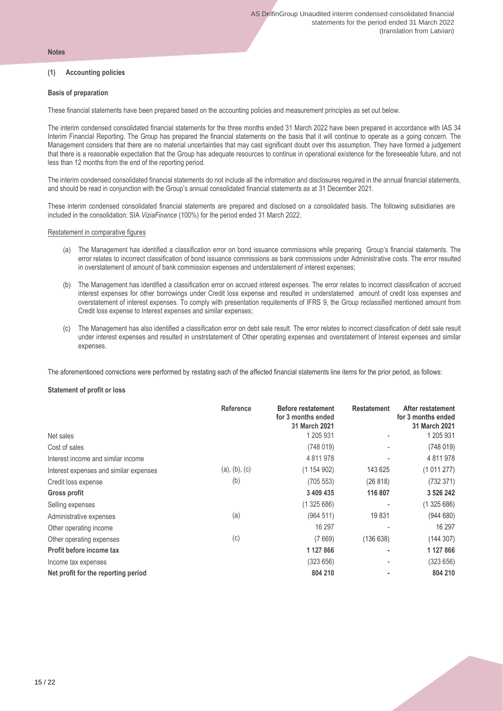#### **Notes**

#### **(1) Accounting policies**

#### **Basis of preparation**

These financial statements have been prepared based on the accounting policies and measurement principles as set out below.

The interim condensed consolidated financial statements for the three months ended 31 March 2022 have been prepared in accordance with IAS 34 Interim Financial Reporting. The Group has prepared the financial statements on the basis that it will continue to operate as a going concern. The Management considers that there are no material uncertainties that may cast significant doubt over this assumption. They have formed a judgement that there is a reasonable expectation that the Group has adequate resources to continue in operational existence for the foreseeable future, and not less than 12 months from the end of the reporting period.

The interim condensed consolidated financial statements do not include all the information and disclosures required in the annual financial statements, and should be read in conjunction with the Group's annual consolidated financial statements as at 31 December 2021.

These interim condensed consolidated financial statements are prepared and disclosed on a consolidated basis. The following subsidiaries are included in the consolidation: SIA *ViziaFinance* (100%) for the period ended 31 March 2022.

#### Restatement in comparative figures

- (a) The Management has identified a classification error on bond issuance commissions while preparing Group's financial statements. The error relates to incorrect classification of bond issuance commissions as bank commissions under Administrative costs. The error resulted in overstatement of amount of bank commission expenses and understatement of interest expenses;
- (b) The Management has identified a classification error on accrued interest expenses. The error relates to incorrect classification of accrued interest expenses for other borrowings under Credit loss expense and resulted in understatemed amount of credit loss expenses and overstatement of interest expenses. To comply with presentation requitements of IFRS 9, the Group reclassified mentioned amount from Credit loss expense to Interest expenses and similar expenses;
- (c) The Management has also identified a classification error on debt sale result. The error relates to incorrect classification of debt sale result under interest expenses and resulted in unstrstatement of Other operating expenses and overstatement of Interest expenses and similar expenses.

The aforementioned corrections were performed by restating each of the affected financial statements line items for the prior period, as follows:

#### **Statement of profit or loss**

|                                        | Reference     | <b>Before restatement</b><br>for 3 months ended<br>31 March 2021 | <b>Restatement</b> | After restatement<br>for 3 months ended<br>31 March 2021 |
|----------------------------------------|---------------|------------------------------------------------------------------|--------------------|----------------------------------------------------------|
| Net sales                              |               | 1 205 931                                                        |                    | 1 205 931                                                |
| Cost of sales                          |               | (748019)                                                         |                    | (748019)                                                 |
| Interest income and similar income     |               | 4 811 978                                                        |                    | 4 811 978                                                |
| Interest expenses and similar expenses | (a), (b), (c) | (1154902)                                                        | 143 625            | (1011277)                                                |
| Credit loss expense                    | (b)           | (705 553)                                                        | (26 818)           | (732371)                                                 |
| Gross profit                           |               | 3 409 435                                                        | 116 807            | 3 526 242                                                |
| Selling expenses                       |               | (1325686)                                                        |                    | (1325686)                                                |
| Administrative expenses                | (a)           | (964511)                                                         | 19831              | (944680)                                                 |
| Other operating income                 |               | 16 297                                                           |                    | 16 297                                                   |
| Other operating expenses               | (c)           | (7669)                                                           | (136638)           | (144307)                                                 |
| Profit before income tax               |               | 1 127 866                                                        | ٠                  | 1 127 866                                                |
| Income tax expenses                    |               | (323656)                                                         |                    | (323656)                                                 |
| Net profit for the reporting period    |               | 804 210                                                          |                    | 804 210                                                  |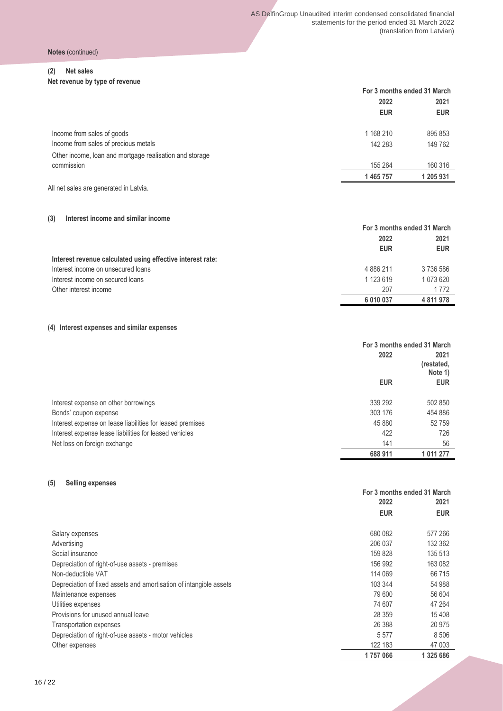#### **(2) Net sales**

**Net revenue by type of revenue**

|                                                         | For 3 months ended 31 March |            |  |
|---------------------------------------------------------|-----------------------------|------------|--|
|                                                         | 2022                        | 2021       |  |
|                                                         | <b>EUR</b>                  | <b>EUR</b> |  |
| Income from sales of goods                              | 1 168 210                   | 895 853    |  |
| Income from sales of precious metals                    | 142 283                     | 149 762    |  |
| Other income, loan and mortgage realisation and storage |                             |            |  |
| commission                                              | 155 264                     | 160 316    |  |
|                                                         | 1 465 757                   | 1 205 931  |  |
| All net sales are generated in Latvia.                  |                             |            |  |

#### **(3) Interest income and similar income**

|                                                            | For 3 months ended 31 March |             |  |
|------------------------------------------------------------|-----------------------------|-------------|--|
|                                                            | 2022                        | 2021        |  |
|                                                            | <b>EUR</b>                  | <b>EUR</b>  |  |
| Interest revenue calculated using effective interest rate: |                             |             |  |
| Interest income on unsecured loans                         | 4 886 211                   | 3736586     |  |
| Interest income on secured loans                           | 1 123 619                   | 1 073 620   |  |
| Other interest income                                      | 207                         | 1772        |  |
|                                                            | 6 010 037                   | 4 8 1 9 7 8 |  |

#### **(4) Interest expenses and similar expenses**

|                                                           | For 3 months ended 31 March |                               |  |
|-----------------------------------------------------------|-----------------------------|-------------------------------|--|
|                                                           | 2022                        | 2021<br>(restated,<br>Note 1) |  |
|                                                           | <b>EUR</b>                  | <b>EUR</b>                    |  |
| Interest expense on other borrowings                      | 339 292                     | 502 850                       |  |
| Bonds' coupon expense                                     | 303 176                     | 454 886                       |  |
| Interest expense on lease liabilities for leased premises | 45 880                      | 52759                         |  |
| Interest expense lease liabilities for leased vehicles    | 422                         | 726                           |  |
| Net loss on foreign exchange                              | 141                         | 56                            |  |
|                                                           | 688 911                     | 1 011 277                     |  |

#### **(5) Selling expenses**

|                                                                    | For 3 months ended 31 March |            |  |
|--------------------------------------------------------------------|-----------------------------|------------|--|
|                                                                    | 2022                        | 2021       |  |
|                                                                    | <b>EUR</b>                  | <b>EUR</b> |  |
| Salary expenses                                                    | 680 082                     | 577 266    |  |
| Advertising                                                        | 206 037                     | 132 362    |  |
| Social insurance                                                   | 159 828                     | 135 513    |  |
| Depreciation of right-of-use assets - premises                     | 156 992                     | 163 082    |  |
| Non-deductible VAT                                                 | 114 069                     | 66 715     |  |
| Depreciation of fixed assets and amortisation of intangible assets | 103 344                     | 54 988     |  |
| Maintenance expenses                                               | 79 600                      | 56 604     |  |
| Utilities expenses                                                 | 74 607                      | 47 264     |  |
| Provisions for unused annual leave                                 | 28 359                      | 15 408     |  |
| Transportation expenses                                            | 26 388                      | 20 975     |  |
| Depreciation of right-of-use assets - motor vehicles               | 5 5 7 7                     | 8 5 0 6    |  |
| Other expenses                                                     | 122 183                     | 47 003     |  |
|                                                                    | 1757066                     | 1 325 686  |  |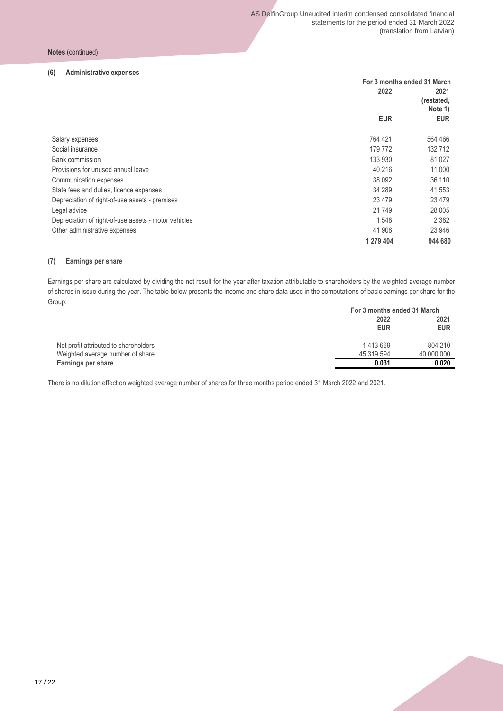#### **(6) Administrative expenses**

|                                                      |            | For 3 months ended 31 March   |  |  |
|------------------------------------------------------|------------|-------------------------------|--|--|
|                                                      | 2022       | 2021<br>(restated,<br>Note 1) |  |  |
|                                                      | <b>EUR</b> | <b>EUR</b>                    |  |  |
| Salary expenses                                      | 764 421    | 564 466                       |  |  |
| Social insurance                                     | 179 772    | 132712                        |  |  |
| Bank commission                                      | 133 930    | 81 0 27                       |  |  |
| Provisions for unused annual leave                   | 40 216     | 11 000                        |  |  |
| Communication expenses                               | 38 092     | 36 110                        |  |  |
| State fees and duties, licence expenses              | 34 289     | 41 553                        |  |  |
| Depreciation of right-of-use assets - premises       | 23 4 79    | 23 4 7 9                      |  |  |
| Legal advice                                         | 21 749     | 28 005                        |  |  |
| Depreciation of right-of-use assets - motor vehicles | 1548       | 2 3 8 2                       |  |  |
| Other administrative expenses                        | 41 908     | 23 946                        |  |  |
|                                                      | 1 279 404  | 944 680                       |  |  |

#### **(7) Earnings per share**

Earnings per share are calculated by dividing the net result for the year after taxation attributable to shareholders by the weighted average number of shares in issue during the year. The table below presents the income and share data used in the computations of basic earnings per share for the Group:

|                                       | For 3 months ended 31 March |                    |  |
|---------------------------------------|-----------------------------|--------------------|--|
|                                       | 2022<br><b>EUR</b>          | 2021<br><b>EUR</b> |  |
|                                       |                             |                    |  |
| Net profit attributed to shareholders | 1413669                     | 804 210            |  |
| Weighted average number of share      | 45 319 594                  | 40 000 000         |  |
| Earnings per share                    | 0.031                       | 0.020              |  |

There is no dilution effect on weighted average number of shares for three months period ended 31 March 2022 and 2021.

17 / 22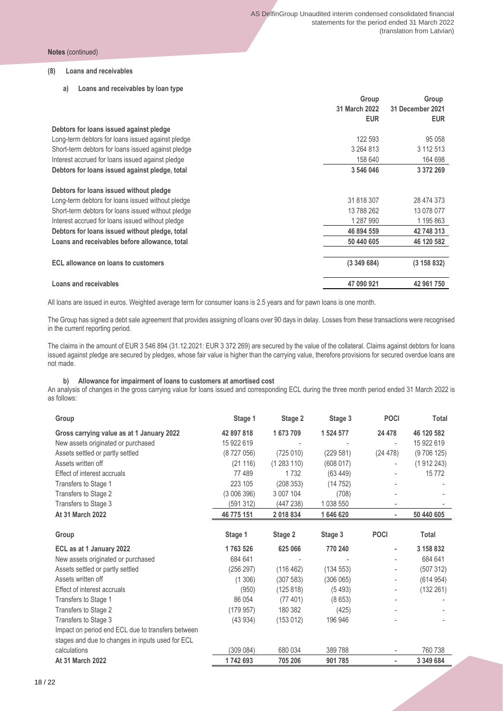#### **(8) Loans and receivables**

**a) Loans and receivables by loan type**

|                                                    | Group         | Group            |
|----------------------------------------------------|---------------|------------------|
|                                                    | 31 March 2022 | 31 December 2021 |
|                                                    | <b>EUR</b>    | <b>EUR</b>       |
| Debtors for loans issued against pledge            |               |                  |
| Long-term debtors for loans issued against pledge  | 122 593       | 95 0 58          |
| Short-term debtors for loans issued against pledge | 3 264 813     | 3 112 513        |
| Interest accrued for loans issued against pledge   | 158 640       | 164 698          |
| Debtors for loans issued against pledge, total     | 3 546 046     | 3 372 269        |
| Debtors for loans issued without pledge            |               |                  |
| Long-term debtors for loans issued without pledge  | 31 818 307    | 28 474 373       |
| Short-term debtors for loans issued without pledge | 13 788 262    | 13 078 077       |
| Interest accrued for loans issued without pledge   | 1 287 990     | 1 195 863        |
| Debtors for loans issued without pledge, total     | 46 894 559    | 42 748 313       |
| Loans and receivables before allowance, total      | 50 440 605    | 46 120 582       |
| ECL allowance on loans to customers                | (3349684)     | (3 158 832)      |
| Loans and receivables                              | 47 090 921    | 42 961 750       |

All loans are issued in euros. Weighted average term for consumer loans is 2.5 years and for pawn loans is one month.

The Group has signed a debt sale agreement that provides assigning of loans over 90 days in delay. Losses from these transactions were recognised in the current reporting period.

The claims in the amount of EUR 3 546 894 (31.12.2021: EUR 3 372 269) are secured by the value of the collateral. Claims against debtors for loans issued against pledge are secured by pledges, whose fair value is higher than the carrying value, therefore provisions for secured overdue loans are not made.

#### **b) Allowance for impairment of loans to customers at amortised cost**

An analysis of changes in the gross carrying value for loans issued and corresponding ECL during the three month period ended 31 March 2022 is as follows:

| Group                                             | Stage 1    | Stage 2   | Stage 3   | <b>POCI</b> | Total        |
|---------------------------------------------------|------------|-----------|-----------|-------------|--------------|
| Gross carrying value as at 1 January 2022         | 42 897 818 | 1673709   | 1 524 577 | 24 478      | 46 120 582   |
| New assets originated or purchased                | 15 922 619 |           |           |             | 15 922 619   |
| Assets settled or partly settled                  | (8727056)  | (725010)  | (229 581) | (24 478)    | (9706125)    |
| Assets written off                                | (21116)    | (1283110) | (608017)  |             | (1912243)    |
| Effect of interest accruals                       | 77489      | 1732      | (63449)   |             | 15772        |
| Transfers to Stage 1                              | 223 105    | (208353)  | (14752)   |             |              |
| Transfers to Stage 2                              | (3006396)  | 3 007 104 | (708)     |             |              |
| Transfers to Stage 3                              | (591312)   | (447 238) | 1 038 550 |             |              |
| At 31 March 2022                                  | 46 775 151 | 2018834   | 1646620   | ٠           | 50 440 605   |
|                                                   |            |           |           |             |              |
| Group                                             | Stage 1    | Stage 2   | Stage 3   | <b>POCI</b> | <b>Total</b> |
| ECL as at 1 January 2022                          | 1763 526   | 625 066   | 770 240   |             | 3 158 832    |
| New assets originated or purchased                | 684 641    |           |           |             | 684 641      |
| Assets settled or partly settled                  | (256 297)  | (116 462) | (134 553) |             | (507312)     |
| Assets written off                                | (1306)     | (307583)  | (306065)  |             | (614954)     |
| Effect of interest accruals                       | (950)      | (125 818) | (5493)    |             | (132 261)    |
| Transfers to Stage 1                              | 86 054     | (77401)   | (8653)    |             |              |
| Transfers to Stage 2                              | (179957)   | 180 382   | (425)     |             |              |
| Transfers to Stage 3                              | (43934)    | (153012)  | 196 946   |             |              |
| Impact on period end ECL due to transfers between |            |           |           |             |              |
| stages and due to changes in inputs used for ECL  |            |           |           |             |              |
| calculations                                      | (309 084)  | 680 034   | 389788    |             | 760 738      |
| <b>At 31 March 2022</b>                           | 1742693    | 705 206   | 901 785   | ٠           | 3 349 684    |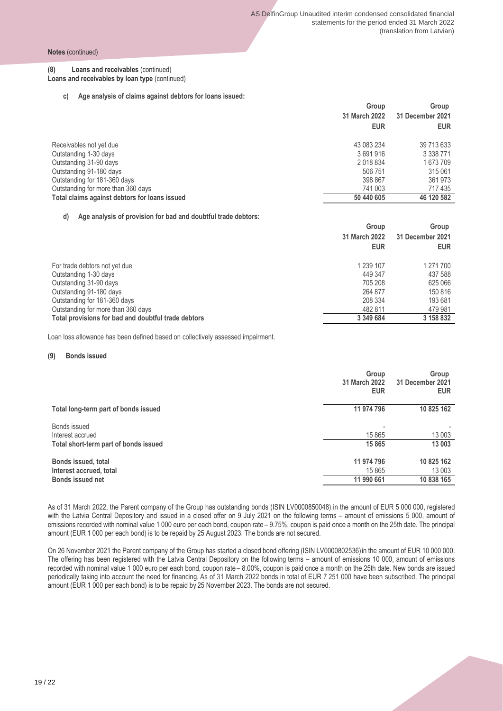#### **(8) Loans and receivables** (continued) **Loans and receivables by loan type** (continued)

**c) Age analysis of claims against debtors for loans issued:**

|                                               | Group         | Group            |
|-----------------------------------------------|---------------|------------------|
|                                               | 31 March 2022 | 31 December 2021 |
|                                               | <b>EUR</b>    | <b>EUR</b>       |
| Receivables not yet due                       | 43 083 234    | 39 713 633       |
| Outstanding 1-30 days                         | 3691916       | 3 3 3 8 7 7 1    |
| Outstanding 31-90 days                        | 2018834       | 1673709          |
| Outstanding 91-180 days                       | 506 751       | 315 061          |
| Outstanding for 181-360 days                  | 398 867       | 361 973          |
| Outstanding for more than 360 days            | 741 003       | 717435           |
| Total claims against debtors for loans issued | 50 440 605    | 46 120 582       |

#### **d) Age analysis of provision for bad and doubtful trade debtors:**

|                                                     | Group         | Group            |
|-----------------------------------------------------|---------------|------------------|
|                                                     | 31 March 2022 | 31 December 2021 |
|                                                     | <b>EUR</b>    | <b>EUR</b>       |
| For trade debtors not yet due                       | 1 239 107     | 1 271 700        |
| Outstanding 1-30 days                               | 449 347       | 437 588          |
| Outstanding 31-90 days                              | 705 208       | 625 066          |
| Outstanding 91-180 days                             | 264 877       | 150 816          |
| Outstanding for 181-360 days                        | 208 334       | 193 681          |
| Outstanding for more than 360 days                  | 482 811       | 479 981          |
| Total provisions for bad and doubtful trade debtors | 3 349 684     | 3 158 832        |

Loan loss allowance has been defined based on collectively assessed impairment.

#### **(9) Bonds issued**

|                                                       | Group<br>31 March 2022<br><b>EUR</b> | Group<br>31 December 2021<br><b>EUR</b> |
|-------------------------------------------------------|--------------------------------------|-----------------------------------------|
| Total long-term part of bonds issued                  | 11 974 796                           | 10 825 162                              |
| Bonds issued<br>Interest accrued                      | 15 8 65                              | 13 003                                  |
| Total short-term part of bonds issued                 | 15 865                               | 13 003                                  |
| <b>Bonds issued, total</b><br>Interest accrued, total | 11 974 796<br>15 865                 | 10 825 162<br>13 003                    |
| <b>Bonds issued net</b>                               | 11 990 661                           | 10 838 165                              |

As of 31 March 2022, the Parent company of the Group has outstanding bonds (ISIN LV0000850048) in the amount of EUR 5 000 000, registered with the Latvia Central Depository and issued in a closed offer on 9 July 2021 on the following terms – amount of emissions 5 000, amount of emissions recorded with nominal value 1 000 euro per each bond, coupon rate – 9.75%, coupon is paid once a month on the 25th date. The principal amount (EUR 1 000 per each bond) is to be repaid by 25 August 2023. The bonds are not secured.

On 26 November 2021 the Parent company of the Group has started a closed bond offering (ISIN LV0000802536) in the amount of EUR 10 000 000. The offering has been registered with the Latvia Central Depository on the following terms – amount of emissions 10 000, amount of emissions recorded with nominal value 1 000 euro per each bond, coupon rate – 8.00%, coupon is paid once a month on the 25th date. New bonds are issued periodically taking into account the need for financing. As of 31 March 2022 bonds in total of EUR 7 251 000 have been subscribed. The principal amount (EUR 1 000 per each bond) is to be repaid by 25 November 2023. The bonds are not secured.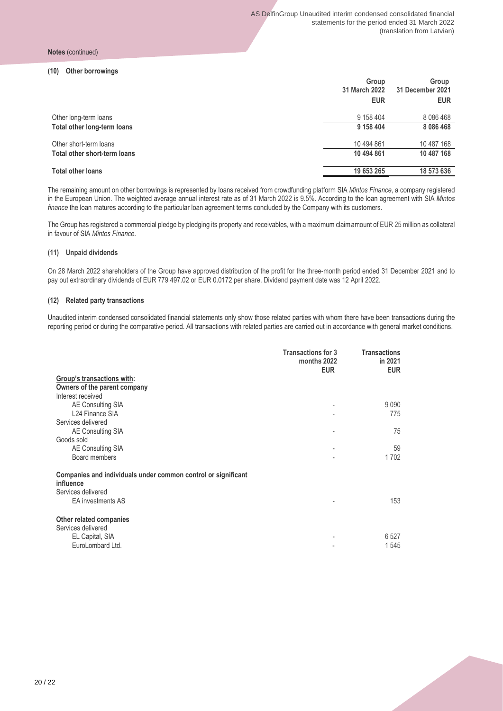#### **(10) Other borrowings**

|                              | Group<br>31 March 2022 | Group<br>31 December 2021 |  |
|------------------------------|------------------------|---------------------------|--|
|                              | <b>EUR</b>             | <b>EUR</b>                |  |
| Other long-term loans        | 9 158 404              | 8 0 8 6 4 6 8             |  |
| Total other long-term loans  | 9 158 404              | 8 0 8 6 4 6 8             |  |
| Other short-term loans       | 10 494 861             | 10 487 168                |  |
| Total other short-term loans | 10 494 861             | 10 487 168                |  |
| <b>Total other loans</b>     | 19 653 265             | 18 573 636                |  |
|                              |                        |                           |  |

The remaining amount on other borrowings is represented by loans received from crowdfunding platform SIA *Mintos Finance*, a company registered in the European Union. The weighted average annual interest rate as of 31 March 2022 is 9.5%. According to the loan agreement with SIA *Mintos finance* the loan matures according to the particular loan agreement terms concluded by the Company with its customers.

The Group has registered a commercial pledge by pledging its property and receivables, with a maximum claim amount of EUR 25 million as collateral in favour of SIA *Mintos Finance*.

#### **(11) Unpaid dividends**

On 28 March 2022 shareholders of the Group have approved distribution of the profit for the three-month period ended 31 December 2021 and to pay out extraordinary dividends of EUR 779 497.02 or EUR 0.0172 per share. Dividend payment date was 12 April 2022.

#### **(12) Related party transactions**

Unaudited interim condensed consolidated financial statements only show those related parties with whom there have been transactions during the reporting period or during the comparative period. All transactions with related parties are carried out in accordance with general market conditions.

|                                                                                                  | <b>Transactions for 3</b><br>months 2022<br><b>EUR</b> | <b>Transactions</b><br>in 2021<br><b>EUR</b> |
|--------------------------------------------------------------------------------------------------|--------------------------------------------------------|----------------------------------------------|
| Group's transactions with:                                                                       |                                                        |                                              |
| Owners of the parent company                                                                     |                                                        |                                              |
| Interest received                                                                                |                                                        |                                              |
| AE Consulting SIA                                                                                |                                                        | 9090                                         |
| L24 Finance SIA                                                                                  |                                                        | 775                                          |
| Services delivered                                                                               |                                                        |                                              |
| AE Consulting SIA                                                                                |                                                        | 75                                           |
| Goods sold                                                                                       |                                                        |                                              |
| AE Consulting SIA                                                                                |                                                        | 59                                           |
| Board members                                                                                    |                                                        | 1702                                         |
| Companies and individuals under common control or significant<br>influence<br>Services delivered |                                                        |                                              |
| <b>EA</b> investments AS                                                                         |                                                        | 153                                          |
| Other related companies<br>Services delivered                                                    |                                                        |                                              |
| EL Capital, SIA                                                                                  |                                                        | 6527                                         |
| EuroLombard Ltd.                                                                                 |                                                        | 1545                                         |

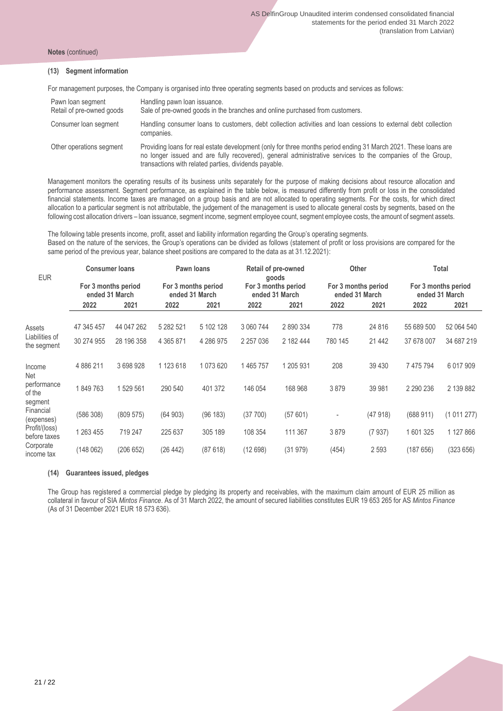#### **(13) Segment information**

For management purposes, the Company is organised into three operating segments based on products and services as follows:

| Pawn loan segment<br>Retail of pre-owned goods | Handling pawn loan issuance.<br>Sale of pre-owned goods in the branches and online purchased from customers.                                                                                                                                                                          |
|------------------------------------------------|---------------------------------------------------------------------------------------------------------------------------------------------------------------------------------------------------------------------------------------------------------------------------------------|
| Consumer loan segment                          | Handling consumer loans to customers, debt collection activities and loan cessions to external debt collection<br>companies.                                                                                                                                                          |
| Other operations segment                       | Providing loans for real estate development (only for three months period ending 31 March 2021. These loans are<br>no longer issued and are fully recovered), general administrative services to the companies of the Group,<br>transactions with related parties, dividends payable. |

Management monitors the operating results of its business units separately for the purpose of making decisions about resource allocation and performance assessment. Segment performance, as explained in the table below, is measured differently from profit or loss in the consolidated financial statements. Income taxes are managed on a group basis and are not allocated to operating segments. For the costs, for which direct allocation to a particular segment is not attributable, the judgement of the management is used to allocate general costs by segments, based on the following cost allocation drivers – loan issuance, segment income, segment employee count, segment employee costs, the amount of segment assets.

The following table presents income, profit, asset and liability information regarding the Group's operating segments. Based on the nature of the services, the Group's operations can be divided as follows (statement of profit or loss provisions are compared for the same period of the previous year, balance sheet positions are compared to the data as at 31.12.2021):

| <b>EUR</b>                         |                                       | <b>Consumer loans</b> |                                       | <b>Pawn loans</b> |                                       | <b>Retail of pre-owned</b><br>goods |                                       | <b>Other</b> |                                       | Total         |
|------------------------------------|---------------------------------------|-----------------------|---------------------------------------|-------------------|---------------------------------------|-------------------------------------|---------------------------------------|--------------|---------------------------------------|---------------|
|                                    | For 3 months period<br>ended 31 March |                       | For 3 months period<br>ended 31 March |                   | For 3 months period<br>ended 31 March |                                     | For 3 months period<br>ended 31 March |              | For 3 months period<br>ended 31 March |               |
|                                    | 2022                                  | 2021                  | 2022                                  | 2021              | 2022                                  | 2021                                | 2022                                  | 2021         | 2022                                  | 2021          |
| Assets                             | 47 345 457                            | 44 047 262            | 5 282 521                             | 5 102 128         | 3 060 744                             | 2890334                             | 778                                   | 24 8 16      | 55 689 500                            | 52 064 540    |
| Liabilities of<br>the segment      | 30 274 955                            | 28 196 358            | 4 3 6 5 8 7 1                         | 4 286 975         | 2 2 5 7 0 3 6                         | 2 182 444                           | 780 145                               | 21 4 4 2     | 37 678 007                            | 34 687 219    |
| Income<br>Net                      | 4886211                               | 3698928               | 1 123 618                             | 1 073 620         | 1465757                               | 1 205 931                           | 208                                   | 39 430       | 7 475 794                             | 6 0 1 7 9 0 9 |
| performance<br>of the              | 1849763                               | 1529561               | 290 540                               | 401 372           | 146 054                               | 168 968                             | 3879                                  | 39 981       | 2 2 9 2 2 3 6                         | 2 139 882     |
| segment<br>Financial<br>(expenses) | (586 308)                             | (809575)              | (64903)                               | (96 183)          | (37700)                               | (57601)                             | ٠                                     | (47918)      | (688911)                              | (1011277)     |
| Profit/(loss)<br>before taxes      | 1 263 455                             | 719 247               | 225 637                               | 305 189           | 108 354                               | 111 367                             | 3879                                  | (7937)       | 1601325                               | 1 127 866     |
| Corporate<br>income tax            | (148062)                              | (206 652)             | (26 442)                              | (87618)           | (12698)                               | (31979)                             | (454)                                 | 2 5 9 3      | (187656)                              | (323 656)     |

#### **(14) Guarantees issued, pledges**

The Group has registered a commercial pledge by pledging its property and receivables, with the maximum claim amount of EUR 25 million as collateral in favour of SIA *Mintos Finance*. As of 31 March 2022, the amount of secured liabilities constitutes EUR 19 653 265 for AS *Mintos Finance* (As of 31 December 2021 EUR 18 573 636).